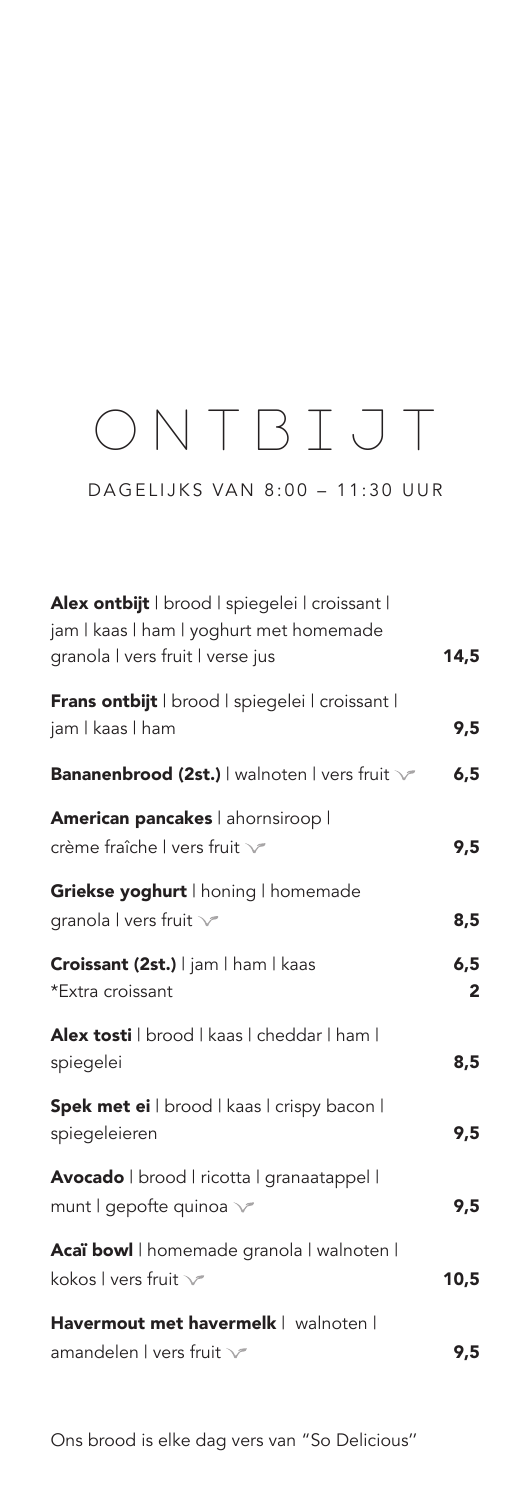## ONTBIJT

DAGELIJKS VAN 8:00 – 11:30 UUR

| Alex ontbijt   brood   spiegelei   croissant  <br>jam I kaas I ham I yoghurt met homemade<br>granola I vers fruit I verse jus | 14,5                 |
|-------------------------------------------------------------------------------------------------------------------------------|----------------------|
| Frans ontbijt   brood   spiegelei   croissant  <br>jam   kaas   ham                                                           | 9,5                  |
| <b>Bananenbrood (2st.)</b>   walnoten   vers fruit \                                                                          | 6,5                  |
| American pancakes   ahornsiroop  <br>crème fraîche I vers fruit v                                                             | 9,5                  |
| Griekse yoghurt   honing   homemade<br>granola I vers fruit v                                                                 | 8,5                  |
| Croissant (2st.)   jam   ham   kaas<br>*Extra croissant                                                                       | 6, 5<br>$\mathbf{2}$ |
| Alex tosti   brood   kaas   cheddar   ham  <br>spiegelei                                                                      | 8,5                  |
| Spek met ei I brood I kaas I crispy bacon I<br>spiegeleieren                                                                  | 9,5                  |
| Avocado   brood   ricotta   granaatappel  <br>munt   gepofte quinoa v                                                         | 9,5                  |
| Acaï bowl   homemade granola   walnoten  <br>kokos I vers fruit $\vee$                                                        | 10,5                 |
| Havermout met havermelk   walnoten  <br>amandelen I vers fruit V                                                              | 9,5                  |

Ons brood is elke dag vers van "So Delicious''